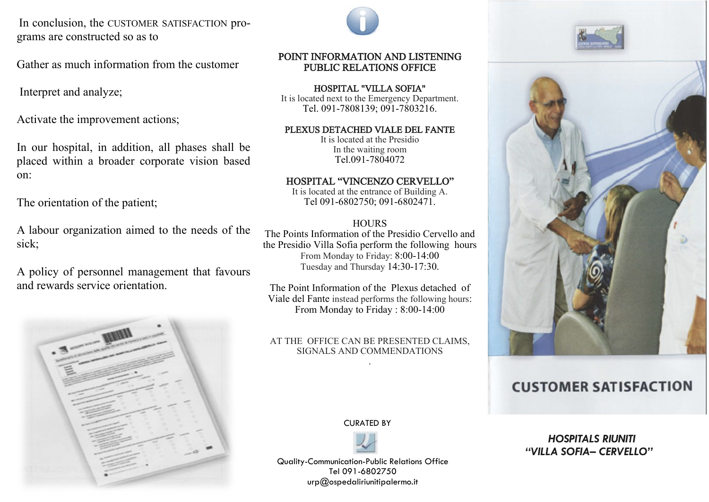In conclusion, the CUSTOMER SATISFACTION programs are constructed so as to

Gather as much information from the customer

Interpret and analyze;

Activate the improvement actions;

In our hospital, in addition, all phases shall be placed within a broader corporate vision based on:

The orientation of the patient;

A labour organization aimed to the needs of the sick;

A policy of personnel management that favours and rewards service orientation.





# POINT INFORMATION AND LISTENING PUBLIC RELATIONS OFFICE

HOSPITAL "VILLA SOFIA" It is located next to the Emergency Department. Tel. 091-7808139; 091-7803216.

#### PLEXUS DETACHED VIALE DEL FANTE

It is located at the Presidio In the waiting room Tel.091-7804072

### HOSPITAL "VINCENZO CERVELLO"

It is located at the entrance of Building A. Tel 091-6802750; 091-6802471.

# **HOURS**

The Points Information of the Presidio Cervello and the Presidio Villa Sofia perform the following hours From Monday to Friday: 8:00-14:00 Tuesday and Thursday 14:30-17:30.

The Point Information of the Plexus detached of Viale del Fante instead performs the following hours: From Monday to Friday : 8:00-14:00

#### AT THE OFFICE CAN BE PRESENTED CLAIMS, SIGNALS AND COMMENDATIONS .

CURATED BY



Quality-Communication-Public Relations Office Tel 091-6802750  $urp@$ ospedaliriunitipalermo.it





# **CUSTOMER SATISFACTION**

*HOSPITALS RIUNITI "VILLA SOFIA– CERVELLO"*